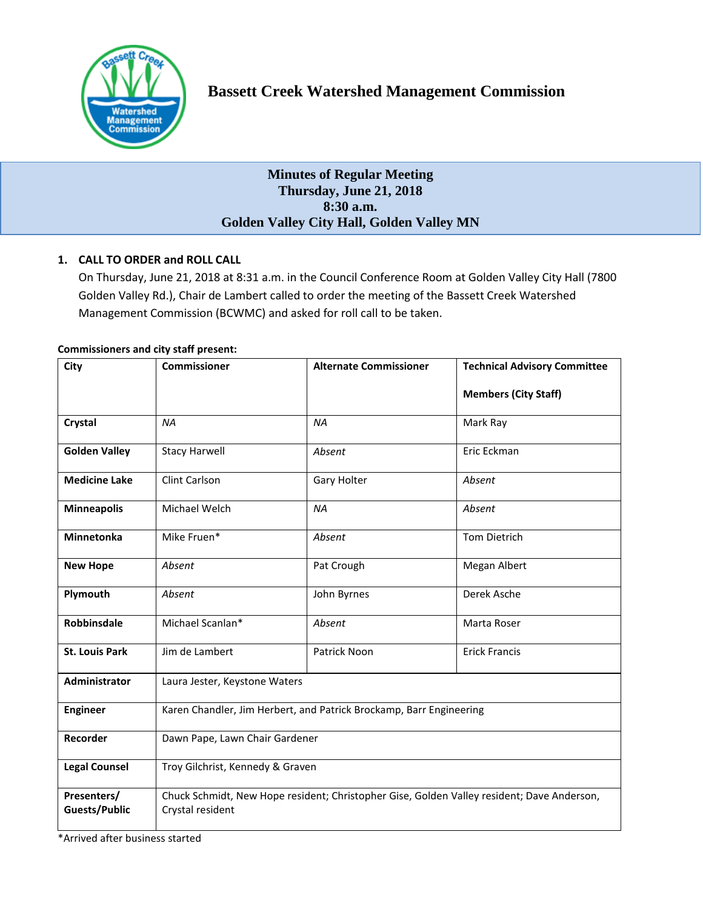

# **Bassett Creek Watershed Management Commission**

## **Minutes of Regular Meeting Thursday, June 21, 2018 8:30 a.m. Golden Valley City Hall, Golden Valley MN**

## **1. CALL TO ORDER and ROLL CALL**

On Thursday, June 21, 2018 at 8:31 a.m. in the Council Conference Room at Golden Valley City Hall (7800 Golden Valley Rd.), Chair de Lambert called to order the meeting of the Bassett Creek Watershed Management Commission (BCWMC) and asked for roll call to be taken.

## **Commissioners and city staff present:**

| City                                | <b>Commissioner</b>                                                                                            | <b>Alternate Commissioner</b> | <b>Technical Advisory Committee</b> |
|-------------------------------------|----------------------------------------------------------------------------------------------------------------|-------------------------------|-------------------------------------|
|                                     |                                                                                                                |                               | <b>Members (City Staff)</b>         |
| Crystal                             | <b>NA</b>                                                                                                      | <b>NA</b>                     | Mark Ray                            |
| <b>Golden Valley</b>                | <b>Stacy Harwell</b>                                                                                           | Absent                        | Eric Eckman                         |
| <b>Medicine Lake</b>                | Clint Carlson                                                                                                  | Gary Holter                   | Absent                              |
| <b>Minneapolis</b>                  | Michael Welch                                                                                                  | <b>NA</b>                     | Absent                              |
| <b>Minnetonka</b>                   | Mike Fruen*                                                                                                    | Absent                        | <b>Tom Dietrich</b>                 |
| <b>New Hope</b>                     | Absent                                                                                                         | Pat Crough                    | Megan Albert                        |
| Plymouth                            | Absent                                                                                                         | John Byrnes                   | Derek Asche                         |
| <b>Robbinsdale</b>                  | Michael Scanlan*                                                                                               | Absent                        | Marta Roser                         |
| <b>St. Louis Park</b>               | Jim de Lambert                                                                                                 | Patrick Noon                  | <b>Erick Francis</b>                |
| Administrator                       | Laura Jester, Keystone Waters                                                                                  |                               |                                     |
| <b>Engineer</b>                     | Karen Chandler, Jim Herbert, and Patrick Brockamp, Barr Engineering                                            |                               |                                     |
| Recorder                            | Dawn Pape, Lawn Chair Gardener                                                                                 |                               |                                     |
| <b>Legal Counsel</b>                | Troy Gilchrist, Kennedy & Graven                                                                               |                               |                                     |
| Presenters/<br><b>Guests/Public</b> | Chuck Schmidt, New Hope resident; Christopher Gise, Golden Valley resident; Dave Anderson,<br>Crystal resident |                               |                                     |

\*Arrived after business started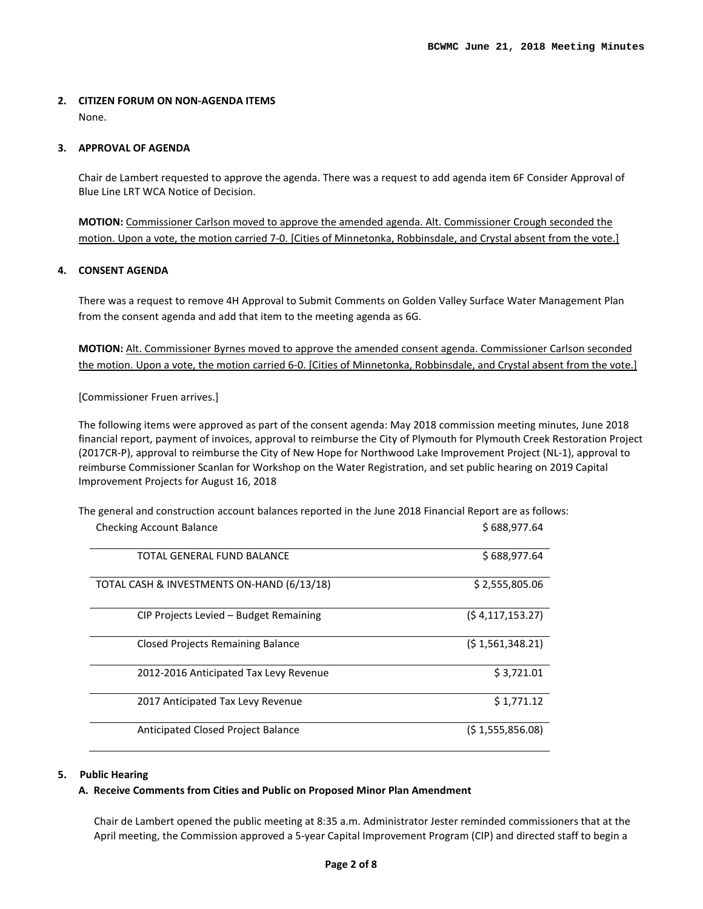## **2. CITIZEN FORUM ON NON-AGENDA ITEMS**  None.

## **3. APPROVAL OF AGENDA**

Chair de Lambert requested to approve the agenda. There was a request to add agenda item 6F Consider Approval of Blue Line LRT WCA Notice of Decision.

**MOTION:** Commissioner Carlson moved to approve the amended agenda. Alt. Commissioner Crough seconded the motion. Upon a vote, the motion carried 7-0. [Cities of Minnetonka, Robbinsdale, and Crystal absent from the vote.]

## **4. CONSENT AGENDA**

There was a request to remove 4H Approval to Submit Comments on Golden Valley Surface Water Management Plan from the consent agenda and add that item to the meeting agenda as 6G.

**MOTION:** Alt. Commissioner Byrnes moved to approve the amended consent agenda. Commissioner Carlson seconded the motion. Upon a vote, the motion carried 6-0. [Cities of Minnetonka, Robbinsdale, and Crystal absent from the vote.]

[Commissioner Fruen arrives.]

The following items were approved as part of the consent agenda: May 2018 commission meeting minutes, June 2018 financial report, payment of invoices, approval to reimburse the City of Plymouth for Plymouth Creek Restoration Project (2017CR-P), approval to reimburse the City of New Hope for Northwood Lake Improvement Project (NL-1), approval to reimburse Commissioner Scanlan for Workshop on the Water Registration, and set public hearing on 2019 Capital Improvement Projects for August 16, 2018

The general and construction account balances reported in the June 2018 Financial Report are as follows: Checking Account Balance **\$ 688,977.64** S

| TOTAL GENERAL FUND BALANCE                 | \$688,977.64    |
|--------------------------------------------|-----------------|
| TOTAL CASH & INVESTMENTS ON-HAND (6/13/18) | \$2,555,805.06  |
| CIP Projects Levied – Budget Remaining     | (54,117,153.27) |
| <b>Closed Projects Remaining Balance</b>   | (51,561,348.21) |
| 2012-2016 Anticipated Tax Levy Revenue     | \$3,721.01      |
| 2017 Anticipated Tax Levy Revenue          | \$1,771.12      |
| Anticipated Closed Project Balance         | (51,555,856.08) |

## **5. Public Hearing**

## **A. Receive Comments from Cities and Public on Proposed Minor Plan Amendment**

Chair de Lambert opened the public meeting at 8:35 a.m. Administrator Jester reminded commissioners that at the April meeting, the Commission approved a 5-year Capital Improvement Program (CIP) and directed staff to begin a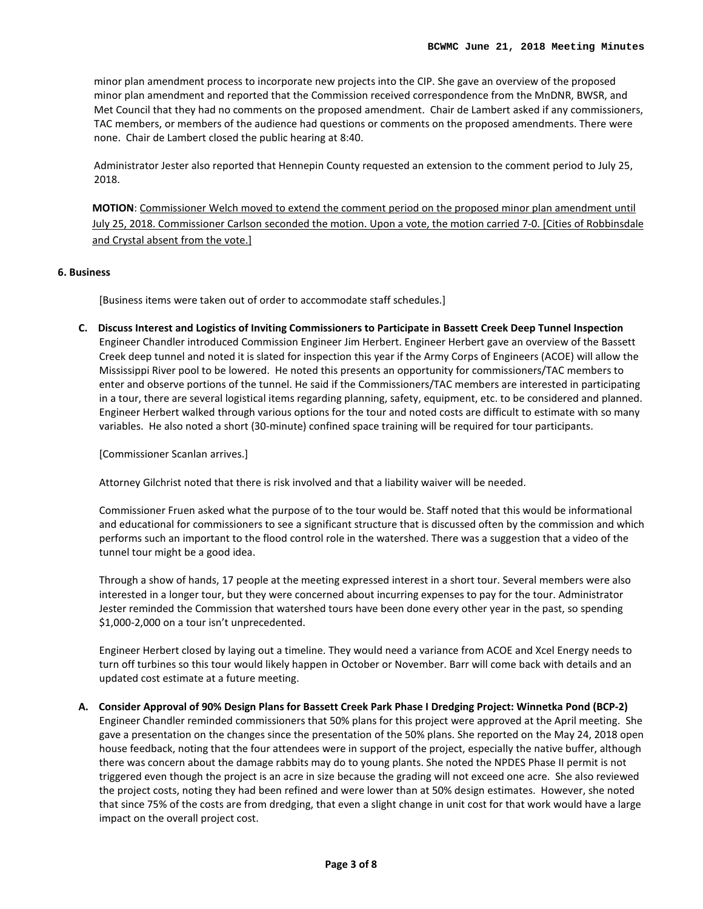minor plan amendment process to incorporate new projects into the CIP. She gave an overview of the proposed minor plan amendment and reported that the Commission received correspondence from the MnDNR, BWSR, and Met Council that they had no comments on the proposed amendment. Chair de Lambert asked if any commissioners, TAC members, or members of the audience had questions or comments on the proposed amendments. There were none. Chair de Lambert closed the public hearing at 8:40.

Administrator Jester also reported that Hennepin County requested an extension to the comment period to July 25, 2018.

**MOTION**: Commissioner Welch moved to extend the comment period on the proposed minor plan amendment until July 25, 2018. Commissioner Carlson seconded the motion. Upon a vote, the motion carried 7-0. [Cities of Robbinsdale and Crystal absent from the vote.]

## **6. Business**

[Business items were taken out of order to accommodate staff schedules.]

**C. Discuss Interest and Logistics of Inviting Commissioners to Participate in Bassett Creek Deep Tunnel Inspection** Engineer Chandler introduced Commission Engineer Jim Herbert. Engineer Herbert gave an overview of the Bassett Creek deep tunnel and noted it is slated for inspection this year if the Army Corps of Engineers (ACOE) will allow the Mississippi River pool to be lowered. He noted this presents an opportunity for commissioners/TAC members to enter and observe portions of the tunnel. He said if the Commissioners/TAC members are interested in participating in a tour, there are several logistical items regarding planning, safety, equipment, etc. to be considered and planned. Engineer Herbert walked through various options for the tour and noted costs are difficult to estimate with so many variables. He also noted a short (30-minute) confined space training will be required for tour participants.

[Commissioner Scanlan arrives.]

Attorney Gilchrist noted that there is risk involved and that a liability waiver will be needed.

Commissioner Fruen asked what the purpose of to the tour would be. Staff noted that this would be informational and educational for commissioners to see a significant structure that is discussed often by the commission and which performs such an important to the flood control role in the watershed. There was a suggestion that a video of the tunnel tour might be a good idea.

Through a show of hands, 17 people at the meeting expressed interest in a short tour. Several members were also interested in a longer tour, but they were concerned about incurring expenses to pay for the tour. Administrator Jester reminded the Commission that watershed tours have been done every other year in the past, so spending \$1,000-2,000 on a tour isn't unprecedented.

Engineer Herbert closed by laying out a timeline. They would need a variance from ACOE and Xcel Energy needs to turn off turbines so this tour would likely happen in October or November. Barr will come back with details and an updated cost estimate at a future meeting.

## **A. Consider Approval of 90% Design Plans for Bassett Creek Park Phase I Dredging Project: Winnetka Pond (BCP-2)**

Engineer Chandler reminded commissioners that 50% plans for this project were approved at the April meeting. She gave a presentation on the changes since the presentation of the 50% plans. She reported on the May 24, 2018 open house feedback, noting that the four attendees were in support of the project, especially the native buffer, although there was concern about the damage rabbits may do to young plants. She noted the NPDES Phase II permit is not triggered even though the project is an acre in size because the grading will not exceed one acre. She also reviewed the project costs, noting they had been refined and were lower than at 50% design estimates. However, she noted that since 75% of the costs are from dredging, that even a slight change in unit cost for that work would have a large impact on the overall project cost.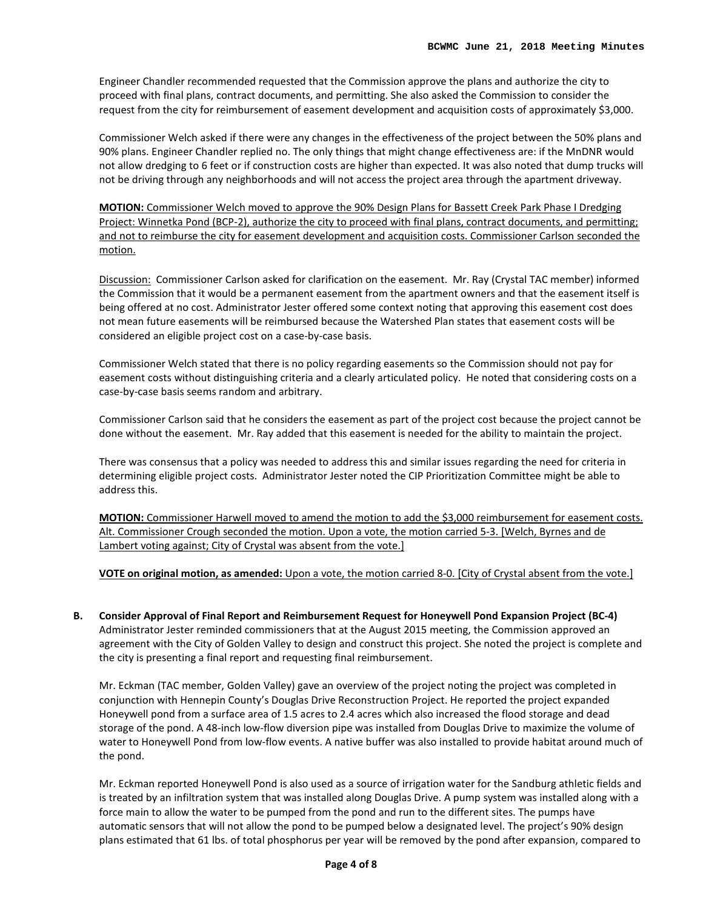Engineer Chandler recommended requested that the Commission approve the plans and authorize the city to proceed with final plans, contract documents, and permitting. She also asked the Commission to consider the request from the city for reimbursement of easement development and acquisition costs of approximately \$3,000.

Commissioner Welch asked if there were any changes in the effectiveness of the project between the 50% plans and 90% plans. Engineer Chandler replied no. The only things that might change effectiveness are: if the MnDNR would not allow dredging to 6 feet or if construction costs are higher than expected. It was also noted that dump trucks will not be driving through any neighborhoods and will not access the project area through the apartment driveway.

**MOTION:** Commissioner Welch moved to approve the 90% Design Plans for Bassett Creek Park Phase I Dredging Project: Winnetka Pond (BCP-2), authorize the city to proceed with final plans, contract documents, and permitting; and not to reimburse the city for easement development and acquisition costs. Commissioner Carlson seconded the motion.

Discussion: Commissioner Carlson asked for clarification on the easement. Mr. Ray (Crystal TAC member) informed the Commission that it would be a permanent easement from the apartment owners and that the easement itself is being offered at no cost. Administrator Jester offered some context noting that approving this easement cost does not mean future easements will be reimbursed because the Watershed Plan states that easement costs will be considered an eligible project cost on a case-by-case basis.

Commissioner Welch stated that there is no policy regarding easements so the Commission should not pay for easement costs without distinguishing criteria and a clearly articulated policy. He noted that considering costs on a case-by-case basis seems random and arbitrary.

Commissioner Carlson said that he considers the easement as part of the project cost because the project cannot be done without the easement. Mr. Ray added that this easement is needed for the ability to maintain the project.

There was consensus that a policy was needed to address this and similar issues regarding the need for criteria in determining eligible project costs. Administrator Jester noted the CIP Prioritization Committee might be able to address this.

**MOTION:** Commissioner Harwell moved to amend the motion to add the \$3,000 reimbursement for easement costs. Alt. Commissioner Crough seconded the motion. Upon a vote, the motion carried 5-3. [Welch, Byrnes and de Lambert voting against; City of Crystal was absent from the vote.]

**VOTE on original motion, as amended:** Upon a vote, the motion carried 8-0. [City of Crystal absent from the vote.]

**B. Consider Approval of Final Report and Reimbursement Request for Honeywell Pond Expansion Project (BC-4)**  Administrator Jester reminded commissioners that at the August 2015 meeting, the Commission approved an agreement with the City of Golden Valley to design and construct this project. She noted the project is complete and the city is presenting a final report and requesting final reimbursement.

Mr. Eckman (TAC member, Golden Valley) gave an overview of the project noting the project was completed in conjunction with Hennepin County's Douglas Drive Reconstruction Project. He reported the project expanded Honeywell pond from a surface area of 1.5 acres to 2.4 acres which also increased the flood storage and dead storage of the pond. A 48-inch low-flow diversion pipe was installed from Douglas Drive to maximize the volume of water to Honeywell Pond from low-flow events. A native buffer was also installed to provide habitat around much of the pond.

Mr. Eckman reported Honeywell Pond is also used as a source of irrigation water for the Sandburg athletic fields and is treated by an infiltration system that was installed along Douglas Drive. A pump system was installed along with a force main to allow the water to be pumped from the pond and run to the different sites. The pumps have automatic sensors that will not allow the pond to be pumped below a designated level. The project's 90% design plans estimated that 61 lbs. of total phosphorus per year will be removed by the pond after expansion, compared to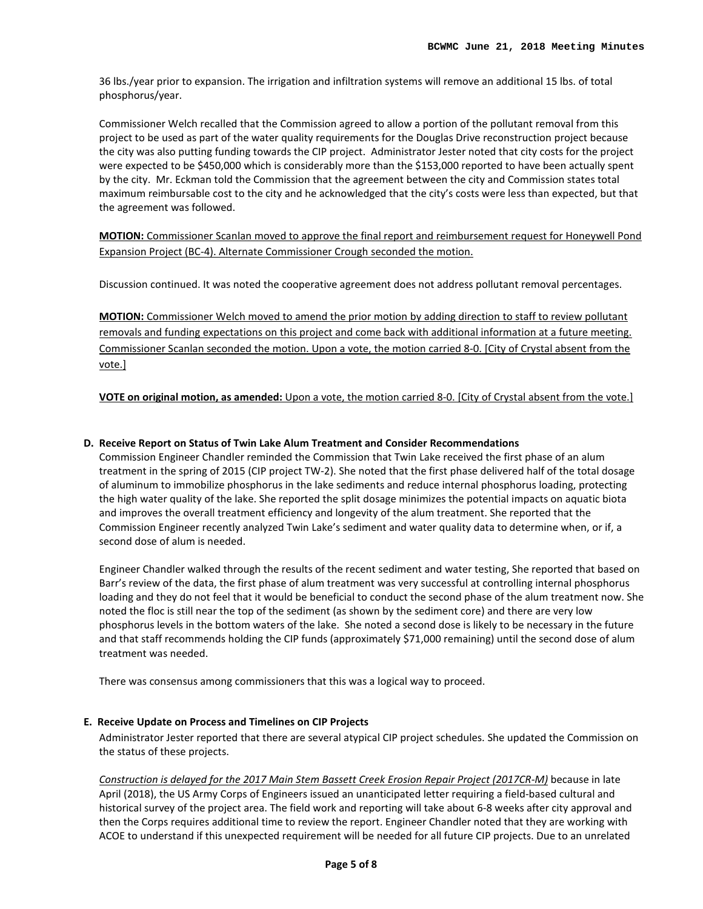36 lbs./year prior to expansion. The irrigation and infiltration systems will remove an additional 15 lbs. of total phosphorus/year.

Commissioner Welch recalled that the Commission agreed to allow a portion of the pollutant removal from this project to be used as part of the water quality requirements for the Douglas Drive reconstruction project because the city was also putting funding towards the CIP project. Administrator Jester noted that city costs for the project were expected to be \$450,000 which is considerably more than the \$153,000 reported to have been actually spent by the city. Mr. Eckman told the Commission that the agreement between the city and Commission states total maximum reimbursable cost to the city and he acknowledged that the city's costs were less than expected, but that the agreement was followed.

**MOTION:** Commissioner Scanlan moved to approve the final report and reimbursement request for Honeywell Pond Expansion Project (BC-4). Alternate Commissioner Crough seconded the motion.

Discussion continued. It was noted the cooperative agreement does not address pollutant removal percentages.

**MOTION:** Commissioner Welch moved to amend the prior motion by adding direction to staff to review pollutant removals and funding expectations on this project and come back with additional information at a future meeting. Commissioner Scanlan seconded the motion. Upon a vote, the motion carried 8-0. [City of Crystal absent from the vote.]

**VOTE on original motion, as amended:** Upon a vote, the motion carried 8-0. [City of Crystal absent from the vote.]

## **D. Receive Report on Status of Twin Lake Alum Treatment and Consider Recommendations**

Commission Engineer Chandler reminded the Commission that Twin Lake received the first phase of an alum treatment in the spring of 2015 (CIP project TW-2). She noted that the first phase delivered half of the total dosage of aluminum to immobilize phosphorus in the lake sediments and reduce internal phosphorus loading, protecting the high water quality of the lake. She reported the split dosage minimizes the potential impacts on aquatic biota and improves the overall treatment efficiency and longevity of the alum treatment. She reported that the Commission Engineer recently analyzed Twin Lake's sediment and water quality data to determine when, or if, a second dose of alum is needed.

Engineer Chandler walked through the results of the recent sediment and water testing, She reported that based on Barr's review of the data, the first phase of alum treatment was very successful at controlling internal phosphorus loading and they do not feel that it would be beneficial to conduct the second phase of the alum treatment now. She noted the floc is still near the top of the sediment (as shown by the sediment core) and there are very low phosphorus levels in the bottom waters of the lake. She noted a second dose is likely to be necessary in the future and that staff recommends holding the CIP funds (approximately \$71,000 remaining) until the second dose of alum treatment was needed.

There was consensus among commissioners that this was a logical way to proceed.

## **E. Receive Update on Process and Timelines on CIP Projects**

Administrator Jester reported that there are several atypical CIP project schedules. She updated the Commission on the status of these projects.

*Construction is delayed for the 2017 Main Stem Bassett Creek Erosion Repair Project (2017CR-M)* because in late April (2018), the US Army Corps of Engineers issued an unanticipated letter requiring a field-based cultural and historical survey of the project area. The field work and reporting will take about 6-8 weeks after city approval and then the Corps requires additional time to review the report. Engineer Chandler noted that they are working with ACOE to understand if this unexpected requirement will be needed for all future CIP projects. Due to an unrelated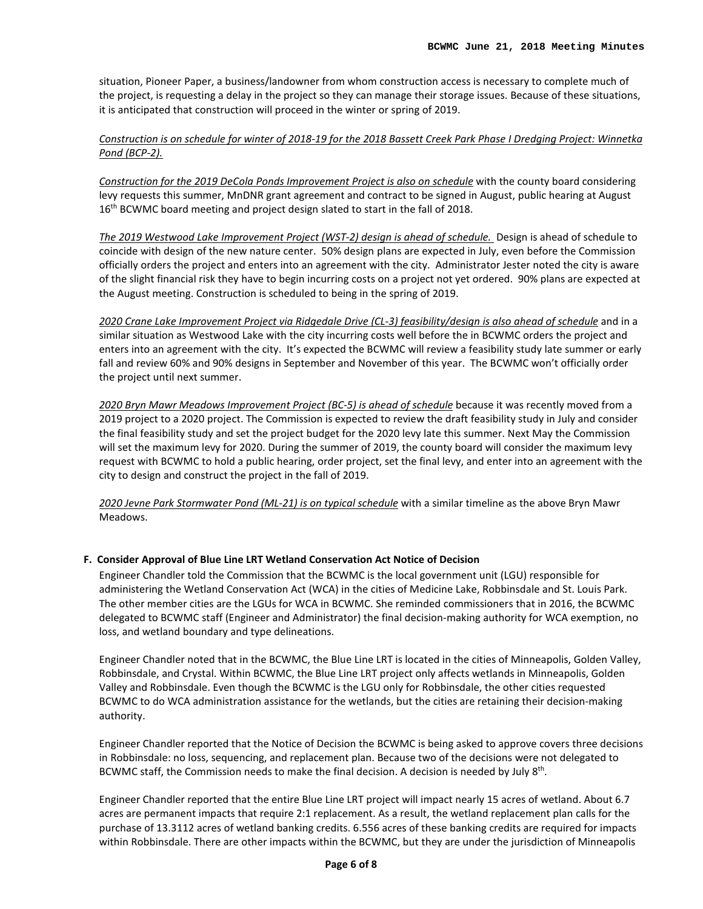situation, Pioneer Paper, a business/landowner from whom construction access is necessary to complete much of the project, is requesting a delay in the project so they can manage their storage issues. Because of these situations, it is anticipated that construction will proceed in the winter or spring of 2019.

*Construction is on schedule for winter of 2018-19 for the 2018 Bassett Creek Park Phase I Dredging Project: Winnetka Pond (BCP-2).*

*Construction for the 2019 DeCola Ponds Improvement Project is also on schedule* with the county board considering levy requests this summer, MnDNR grant agreement and contract to be signed in August, public hearing at August 16<sup>th</sup> BCWMC board meeting and project design slated to start in the fall of 2018.

*The 2019 Westwood Lake Improvement Project (WST-2) design is ahead of schedule.* Design is ahead of schedule to coincide with design of the new nature center. 50% design plans are expected in July, even before the Commission officially orders the project and enters into an agreement with the city. Administrator Jester noted the city is aware of the slight financial risk they have to begin incurring costs on a project not yet ordered. 90% plans are expected at the August meeting. Construction is scheduled to being in the spring of 2019.

*2020 Crane Lake Improvement Project via Ridgedale Drive (CL-3) feasibility/design is also ahead of schedule* and in a similar situation as Westwood Lake with the city incurring costs well before the in BCWMC orders the project and enters into an agreement with the city. It's expected the BCWMC will review a feasibility study late summer or early fall and review 60% and 90% designs in September and November of this year. The BCWMC won't officially order the project until next summer.

*2020 Bryn Mawr Meadows Improvement Project (BC-5) is ahead of schedule* because it was recently moved from a 2019 project to a 2020 project. The Commission is expected to review the draft feasibility study in July and consider the final feasibility study and set the project budget for the 2020 levy late this summer. Next May the Commission will set the maximum levy for 2020. During the summer of 2019, the county board will consider the maximum levy request with BCWMC to hold a public hearing, order project, set the final levy, and enter into an agreement with the city to design and construct the project in the fall of 2019.

*2020 Jevne Park Stormwater Pond (ML-21) is on typical schedule* with a similar timeline as the above Bryn Mawr Meadows.

## **F. Consider Approval of Blue Line LRT Wetland Conservation Act Notice of Decision**

Engineer Chandler told the Commission that the BCWMC is the local government unit (LGU) responsible for administering the Wetland Conservation Act (WCA) in the cities of Medicine Lake, Robbinsdale and St. Louis Park. The other member cities are the LGUs for WCA in BCWMC. She reminded commissioners that in 2016, the BCWMC delegated to BCWMC staff (Engineer and Administrator) the final decision-making authority for WCA exemption, no loss, and wetland boundary and type delineations.

Engineer Chandler noted that in the BCWMC, the Blue Line LRT is located in the cities of Minneapolis, Golden Valley, Robbinsdale, and Crystal. Within BCWMC, the Blue Line LRT project only affects wetlands in Minneapolis, Golden Valley and Robbinsdale. Even though the BCWMC is the LGU only for Robbinsdale, the other cities requested BCWMC to do WCA administration assistance for the wetlands, but the cities are retaining their decision-making authority.

Engineer Chandler reported that the Notice of Decision the BCWMC is being asked to approve covers three decisions in Robbinsdale: no loss, sequencing, and replacement plan. Because two of the decisions were not delegated to BCWMC staff, the Commission needs to make the final decision. A decision is needed by July  $8<sup>th</sup>$ .

Engineer Chandler reported that the entire Blue Line LRT project will impact nearly 15 acres of wetland. About 6.7 acres are permanent impacts that require 2:1 replacement. As a result, the wetland replacement plan calls for the purchase of 13.3112 acres of wetland banking credits. 6.556 acres of these banking credits are required for impacts within Robbinsdale. There are other impacts within the BCWMC, but they are under the jurisdiction of Minneapolis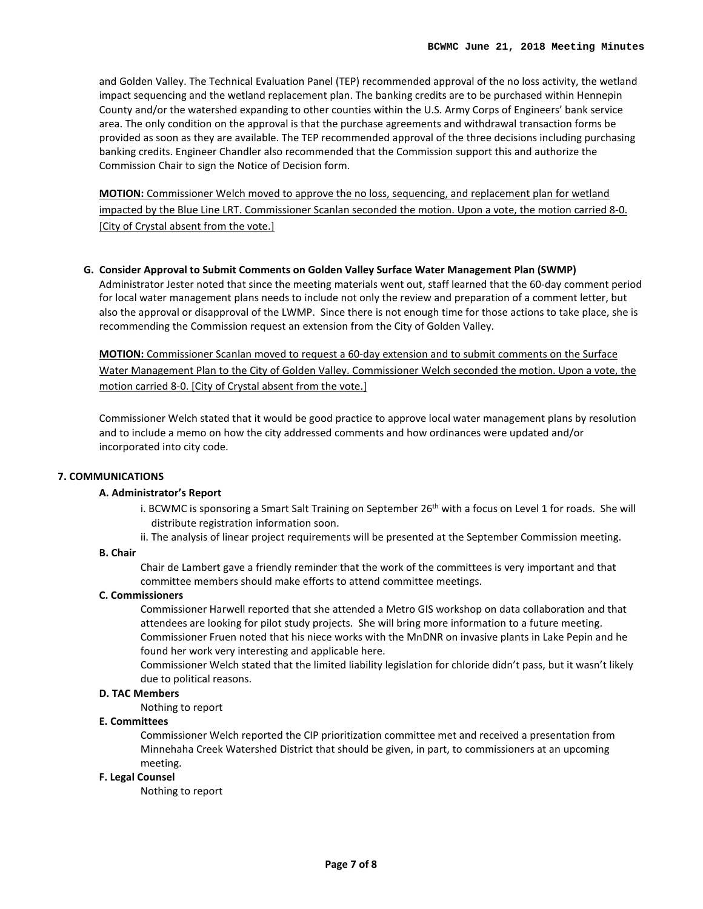and Golden Valley. The Technical Evaluation Panel (TEP) recommended approval of the no loss activity, the wetland impact sequencing and the wetland replacement plan. The banking credits are to be purchased within Hennepin County and/or the watershed expanding to other counties within the U.S. Army Corps of Engineers' bank service area. The only condition on the approval is that the purchase agreements and withdrawal transaction forms be provided as soon as they are available. The TEP recommended approval of the three decisions including purchasing banking credits. Engineer Chandler also recommended that the Commission support this and authorize the Commission Chair to sign the Notice of Decision form.

**MOTION:** Commissioner Welch moved to approve the no loss, sequencing, and replacement plan for wetland impacted by the Blue Line LRT. Commissioner Scanlan seconded the motion. Upon a vote, the motion carried 8-0. [City of Crystal absent from the vote.]

### **G. Consider Approval to Submit Comments on Golden Valley Surface Water Management Plan (SWMP)**

Administrator Jester noted that since the meeting materials went out, staff learned that the 60-day comment period for local water management plans needs to include not only the review and preparation of a comment letter, but also the approval or disapproval of the LWMP. Since there is not enough time for those actions to take place, she is recommending the Commission request an extension from the City of Golden Valley.

**MOTION:** Commissioner Scanlan moved to request a 60-day extension and to submit comments on the Surface Water Management Plan to the City of Golden Valley. Commissioner Welch seconded the motion. Upon a vote, the motion carried 8-0. [City of Crystal absent from the vote.]

Commissioner Welch stated that it would be good practice to approve local water management plans by resolution and to include a memo on how the city addressed comments and how ordinances were updated and/or incorporated into city code.

#### **7. COMMUNICATIONS**

#### **A. Administrator's Report**

- i. BCWMC is sponsoring a Smart Salt Training on September 26<sup>th</sup> with a focus on Level 1 for roads. She will distribute registration information soon.
- ii. The analysis of linear project requirements will be presented at the September Commission meeting.

#### **B. Chair**

Chair de Lambert gave a friendly reminder that the work of the committees is very important and that committee members should make efforts to attend committee meetings.

#### **C. Commissioners**

Commissioner Harwell reported that she attended a Metro GIS workshop on data collaboration and that attendees are looking for pilot study projects. She will bring more information to a future meeting. Commissioner Fruen noted that his niece works with the MnDNR on invasive plants in Lake Pepin and he found her work very interesting and applicable here.

Commissioner Welch stated that the limited liability legislation for chloride didn't pass, but it wasn't likely due to political reasons.

#### **D. TAC Members**

Nothing to report

#### **E. Committees**

Commissioner Welch reported the CIP prioritization committee met and received a presentation from Minnehaha Creek Watershed District that should be given, in part, to commissioners at an upcoming meeting.

#### **F. Legal Counsel**

Nothing to report